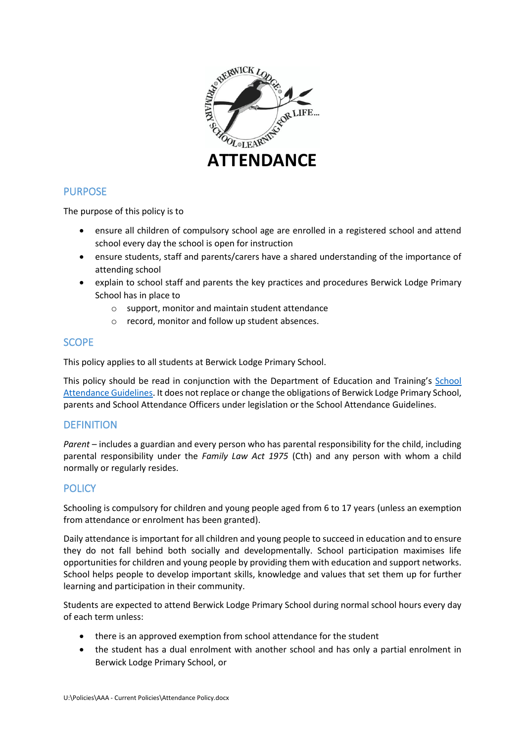

# PURPOSE

The purpose of this policy is to

- ensure all children of compulsory school age are enrolled in a registered school and attend school every day the school is open for instruction
- ensure students, staff and parents/carers have a shared understanding of the importance of attending school
- explain to school staff and parents the key practices and procedures Berwick Lodge Primary School has in place to
	- o support, monitor and maintain student attendance
	- o record, monitor and follow up student absences.

# **SCOPE**

This policy applies to all students at Berwick Lodge Primary School.

This policy should be read in conjunction with the Department of Education and Training's [School](https://www2.education.vic.gov.au/pal/attendance/guidance)  [Attendance Guidelines.](https://www2.education.vic.gov.au/pal/attendance/guidance) It does not replace or change the obligations of Berwick Lodge Primary School, parents and School Attendance Officers under legislation or the School Attendance Guidelines.

### **DEFINITION**

*Parent* – includes a guardian and every person who has parental responsibility for the child, including parental responsibility under the *Family Law Act 1975* (Cth) and any person with whom a child normally or regularly resides.

### **POLICY**

Schooling is compulsory for children and young people aged from 6 to 17 years (unless an exemption from attendance or enrolment has been granted).

Daily attendance is important for all children and young people to succeed in education and to ensure they do not fall behind both socially and developmentally. School participation maximises life opportunities for children and young people by providing them with education and support networks. School helps people to develop important skills, knowledge and values that set them up for further learning and participation in their community.

Students are expected to attend Berwick Lodge Primary School during normal school hours every day of each term unless:

- there is an approved exemption from school attendance for the student
- the student has a dual enrolment with another school and has only a partial enrolment in Berwick Lodge Primary School, or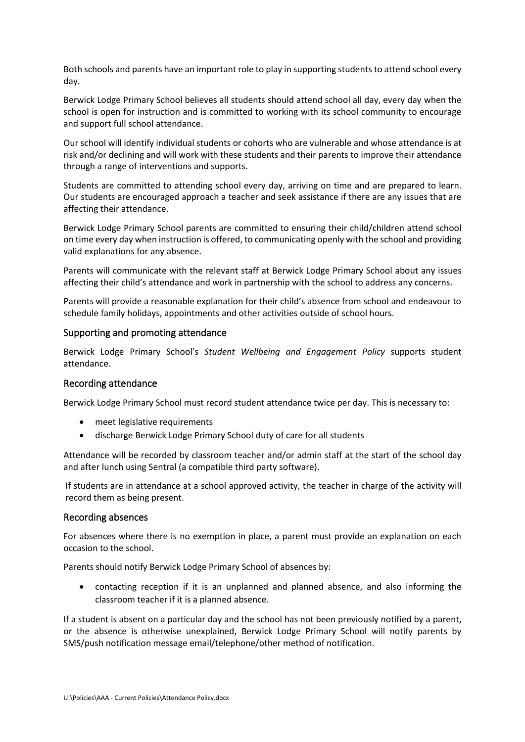Both schools and parents have an important role to play in supporting students to attend school every day.

Berwick Lodge Primary School believes all students should attend school all day, every day when the school is open for instruction and is committed to working with its school community to encourage and support full school attendance.

Our school will identify individual students or cohorts who are vulnerable and whose attendance is at risk and/or declining and will work with these students and their parents to improve their attendance through a range of interventions and supports.

Students are committed to attending school every day, arriving on time and are prepared to learn. Our students are encouraged approach a teacher and seek assistance if there are any issues that are affecting their attendance.

Berwick Lodge Primary School parents are committed to ensuring their child/children attend school on time every day when instruction is offered, to communicating openly with the school and providing valid explanations for any absence.

Parents will communicate with the relevant staff at Berwick Lodge Primary School about any issues affecting their child's attendance and work in partnership with the school to address any concerns.

Parents will provide a reasonable explanation for their child's absence from school and endeavour to schedule family holidays, appointments and other activities outside of school hours.

#### Supporting and promoting attendance

Berwick Lodge Primary School's *Student Wellbeing and Engagement Policy* supports student attendance.

#### Recording attendance

Berwick Lodge Primary School must record student attendance twice per day. This is necessary to:

- meet legislative requirements
- discharge Berwick Lodge Primary School duty of care for all students

Attendance will be recorded by classroom teacher and/or admin staff at the start of the school day and after lunch using Sentral (a compatible third party software).

If students are in attendance at a school approved activity, the teacher in charge of the activity will record them as being present.

#### Recording absences

For absences where there is no exemption in place, a parent must provide an explanation on each occasion to the school.

Parents should notify Berwick Lodge Primary School of absences by:

• contacting reception if it is an unplanned and planned absence, and also informing the classroom teacher if it is a planned absence.

If a student is absent on a particular day and the school has not been previously notified by a parent, or the absence is otherwise unexplained, Berwick Lodge Primary School will notify parents by SMS/push notification message email/telephone/other method of notification.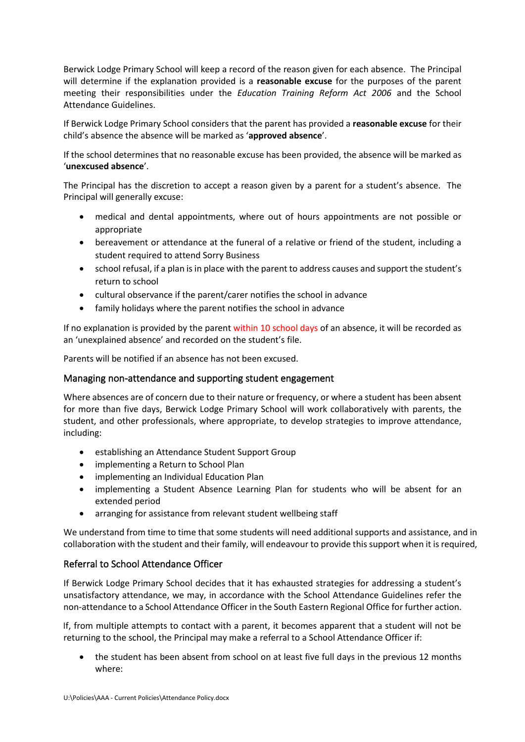Berwick Lodge Primary School will keep a record of the reason given for each absence. The Principal will determine if the explanation provided is a **reasonable excuse** for the purposes of the parent meeting their responsibilities under the *Education Training Reform Act 2006* and the School Attendance Guidelines.

If Berwick Lodge Primary School considers that the parent has provided a **reasonable excuse** for their child's absence the absence will be marked as '**approved absence**'.

If the school determines that no reasonable excuse has been provided, the absence will be marked as '**unexcused absence**'.

The Principal has the discretion to accept a reason given by a parent for a student's absence. The Principal will generally excuse:

- medical and dental appointments, where out of hours appointments are not possible or appropriate
- bereavement or attendance at the funeral of a relative or friend of the student, including a student required to attend Sorry Business
- school refusal, if a plan is in place with the parent to address causes and support the student's return to school
- cultural observance if the parent/carer notifies the school in advance
- family holidays where the parent notifies the school in advance

If no explanation is provided by the parent within 10 school days of an absence, it will be recorded as an 'unexplained absence' and recorded on the student's file.

Parents will be notified if an absence has not been excused.

### Managing non-attendance and supporting student engagement

Where absences are of concern due to their nature or frequency, or where a student has been absent for more than five days, Berwick Lodge Primary School will work collaboratively with parents, the student, and other professionals, where appropriate, to develop strategies to improve attendance, including:

- establishing an Attendance Student Support Group
- implementing a Return to School Plan
- implementing an Individual Education Plan
- implementing a Student Absence Learning Plan for students who will be absent for an extended period
- arranging for assistance from relevant student wellbeing staff

We understand from time to time that some students will need additional supports and assistance, and in collaboration with the student and their family, will endeavour to provide this support when it is required,

### Referral to School Attendance Officer

If Berwick Lodge Primary School decides that it has exhausted strategies for addressing a student's unsatisfactory attendance, we may, in accordance with the School Attendance Guidelines refer the non-attendance to a School Attendance Officer in the South Eastern Regional Office for further action.

If, from multiple attempts to contact with a parent, it becomes apparent that a student will not be returning to the school, the Principal may make a referral to a School Attendance Officer if:

• the student has been absent from school on at least five full days in the previous 12 months where: